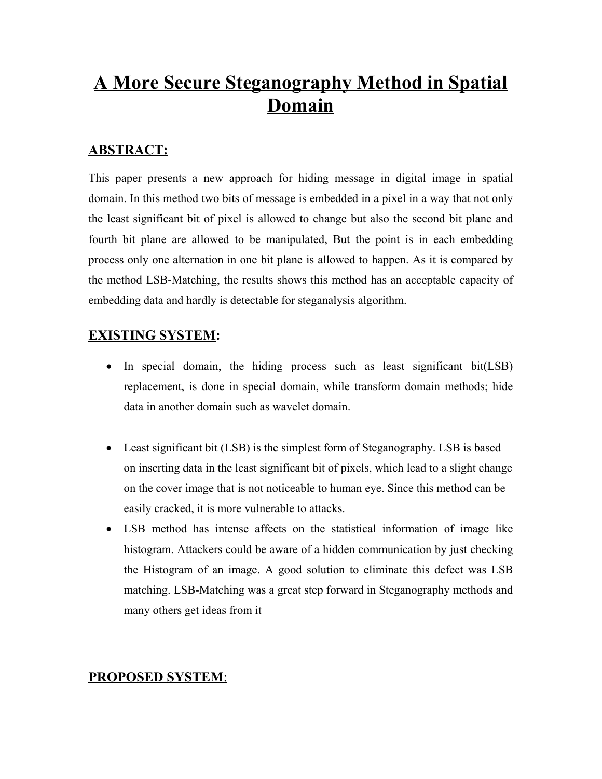# **A More Secure Steganography Method in Spatial Domain**

# **ABSTRACT:**

This paper presents a new approach for hiding message in digital image in spatial domain. In this method two bits of message is embedded in a pixel in a way that not only the least significant bit of pixel is allowed to change but also the second bit plane and fourth bit plane are allowed to be manipulated, But the point is in each embedding process only one alternation in one bit plane is allowed to happen. As it is compared by the method LSB-Matching, the results shows this method has an acceptable capacity of embedding data and hardly is detectable for steganalysis algorithm.

# **EXISTING SYSTEM:**

- In special domain, the hiding process such as least significant bit(LSB) replacement, is done in special domain, while transform domain methods; hide data in another domain such as wavelet domain.
- Least significant bit (LSB) is the simplest form of Steganography. LSB is based on inserting data in the least significant bit of pixels, which lead to a slight change on the cover image that is not noticeable to human eye. Since this method can be easily cracked, it is more vulnerable to attacks.
- · LSB method has intense affects on the statistical information of image like histogram. Attackers could be aware of a hidden communication by just checking the Histogram of an image. A good solution to eliminate this defect was LSB matching. LSB-Matching was a great step forward in Steganography methods and many others get ideas from it

# **PROPOSED SYSTEM**: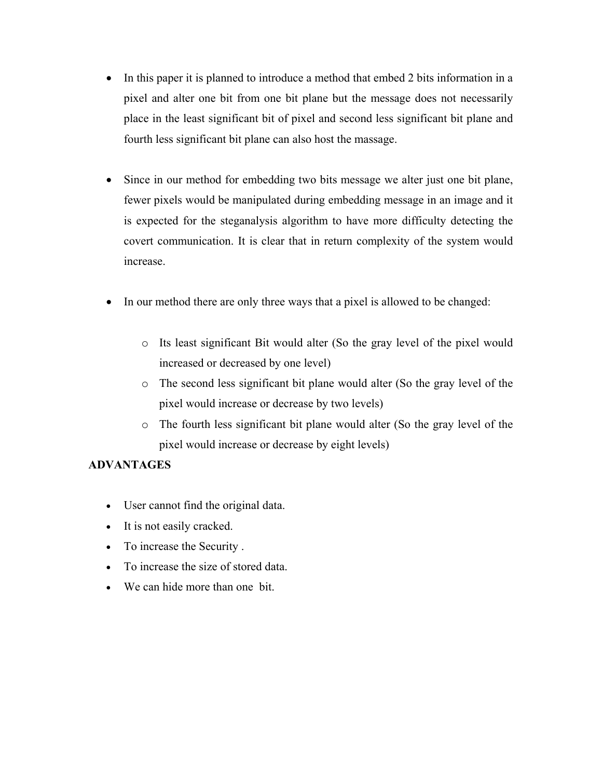- In this paper it is planned to introduce a method that embed 2 bits information in a pixel and alter one bit from one bit plane but the message does not necessarily place in the least significant bit of pixel and second less significant bit plane and fourth less significant bit plane can also host the massage.
- Since in our method for embedding two bits message we alter just one bit plane, fewer pixels would be manipulated during embedding message in an image and it is expected for the steganalysis algorithm to have more difficulty detecting the covert communication. It is clear that in return complexity of the system would increase.
- In our method there are only three ways that a pixel is allowed to be changed:
	- o Its least significant Bit would alter (So the gray level of the pixel would increased or decreased by one level)
	- o The second less significant bit plane would alter (So the gray level of the pixel would increase or decrease by two levels)
	- o The fourth less significant bit plane would alter (So the gray level of the pixel would increase or decrease by eight levels)

#### **ADVANTAGES**

- · User cannot find the original data.
- · It is not easily cracked.
- · To increase the Security .
- · To increase the size of stored data.
- · We can hide more than one bit.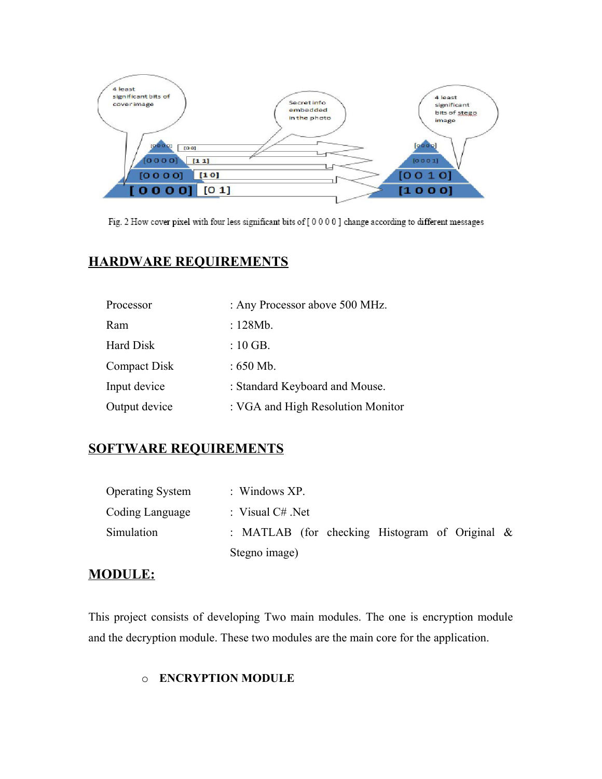

Fig. 2 How cover pixel with four less significant bits of [0000] change according to different messages

# **HARDWARE REQUIREMENTS**

| Processor           | : Any Processor above 500 MHz.    |
|---------------------|-----------------------------------|
| Ram                 | : 128Mb.                          |
| Hard Disk           | $:10$ GB.                         |
| <b>Compact Disk</b> | : $650$ Mb.                       |
| Input device        | : Standard Keyboard and Mouse.    |
| Output device       | : VGA and High Resolution Monitor |

# **SOFTWARE REQUIREMENTS**

| <b>Operating System</b> | : Windows $XP$ .                                  |
|-------------------------|---------------------------------------------------|
| Coding Language         | : Visual $C#$ . Net                               |
| Simulation              | : MATLAB (for checking Histogram of Original $\&$ |
|                         | Stegno image)                                     |

#### **MODULE:**

This project consists of developing Two main modules. The one is encryption module and the decryption module. These two modules are the main core for the application.

#### o **ENCRYPTION MODULE**